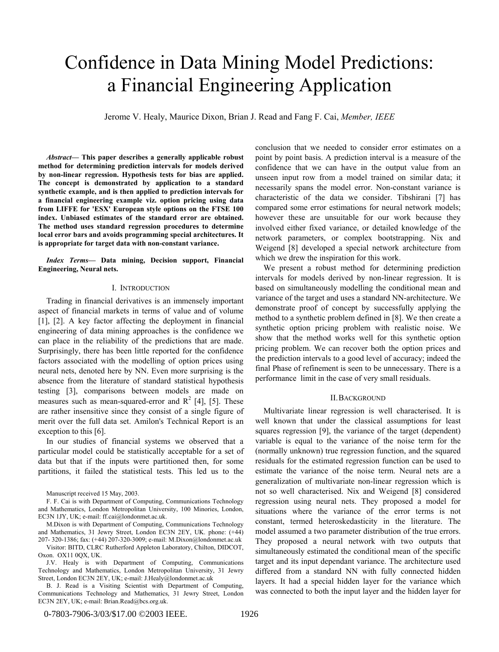# Confidence in Data Mining Model Predictions: a Financial Engineering Application

Jerome V. Healy, Maurice Dixon, Brian J. Read and Fang F. Cai, *Member, IEEE*

*Abstract***— This paper describes a generally applicable robust method for determining prediction intervals for models derived by non-linear regression. Hypothesis tests for bias are applied. The concept is demonstrated by application to a standard synthetic example, and is then applied to prediction intervals for a financial engineering example viz. option pricing using data from LIFFE for 'ESX' European style options on the FTSE 100 index. Unbiased estimates of the standard error are obtained. The method uses standard regression procedures to determine local error bars and avoids programming special architectures. It is appropriate for target data with non-constant variance.**

*Index Terms***— Data mining, Decision support, Financial Engineering, Neural nets.**

#### I. INTRODUCTION

Trading in financial derivatives is an immensely important aspect of financial markets in terms of value and of volume [1], [2]. A key factor affecting the deployment in financial engineering of data mining approaches is the confidence we can place in the reliability of the predictions that are made. Surprisingly, there has been little reported for the confidence factors associated with the modelling of option prices using neural nets, denoted here by NN. Even more surprising is the absence from the literature of standard statistical hypothesis testing [3], comparisons between models are made on measures such as mean-squared-error and  $\mathbb{R}^2$  [4], [5]. These are rather insensitive since they consist of a single figure of merit over the full data set. Amilon's Technical Report is an exception to this [6].

In our studies of financial systems we observed that a particular model could be statistically acceptable for a set of data but that if the inputs were partitioned then, for some partitions, it failed the statistical tests. This led us to the

Visitor: BITD, CLRC Rutherford Appleton Laboratory, Chilton, DIDCOT, Oxon. OX11 0QX, UK.

J.V. Healy is with Department of Computing, Communications Technology and Mathematics, London Metropolitan University, 31 Jewry Street, London EC3N 2EY, UK; e-mail: J.Healy@londonmet.ac.uk

B. J. Read is a Visiting Scientist with Department of Computing, Communications Technology and Mathematics, 31 Jewry Street, London EC3N 2EY, UK; e-mail: Brian.Read@bcs.org.uk.

conclusion that we needed to consider error estimates on a point by point basis. A prediction interval is a measure of the confidence that we can have in the output value from an unseen input row from a model trained on similar data; it necessarily spans the model error. Non-constant variance is characteristic of the data we consider. Tibshirani [7] has compared some error estimations for neural network models; however these are unsuitable for our work because they involved either fixed variance, or detailed knowledge of the network parameters, or complex bootstrapping. Nix and Weigend [8] developed a special network architecture from which we drew the inspiration for this work.

We present a robust method for determining prediction intervals for models derived by non-linear regression. It is based on simultaneously modelling the conditional mean and variance of the target and uses a standard NN-architecture. We demonstrate proof of concept by successfully applying the method to a synthetic problem defined in [8]. We then create a synthetic option pricing problem with realistic noise. We show that the method works well for this synthetic option pricing problem. We can recover both the option prices and the prediction intervals to a good level of accuracy; indeed the final Phase of refinement is seen to be unnecessary. There is a performance limit in the case of very small residuals.

#### II.BACKGROUND

Multivariate linear regression is well characterised. It is well known that under the classical assumptions for least squares regression [9], the variance of the target (dependent) variable is equal to the variance of the noise term for the (normally unknown) true regression function, and the squared residuals for the estimated regression function can be used to estimate the variance of the noise term. Neural nets are a generalization of multivariate non-linear regression which is not so well characterised. Nix and Weigend [8] considered regression using neural nets. They proposed a model for situations where the variance of the error terms is not constant, termed heteroskedasticity in the literature. The model assumed a two parameter distribution of the true errors. They proposed a neural network with two outputs that simultaneously estimated the conditional mean of the specific target and its input dependant variance. The architecture used differed from a standard NN with fully connected hidden layers. It had a special hidden layer for the variance which was connected to both the input layer and the hidden layer for

Manuscript received 15 May, 2003.

F. F. Cai is with Department of Computing, Communications Technology and Mathematics, London Metropolitan University, 100 Minories, London, EC3N 1JY, UK; e-mail: ff.cai@londonmet.ac.uk.

M.Dixon is with Department of Computing, Communications Technology and Mathematics, 31 Jewry Street, London EC3N 2EY, UK. phone: (+44) 207- 320-1386; fax: (+44) 207-320-3009; e-mail: M.Dixon@londonmet.ac.uk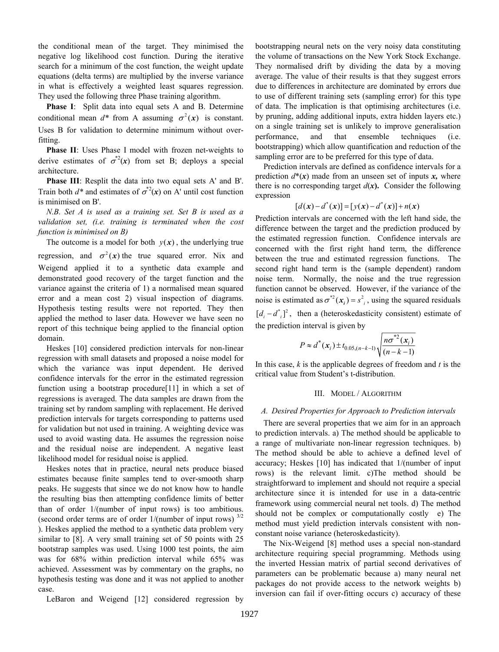the conditional mean of the target. They minimised the negative log likelihood cost function. During the iterative search for a minimum of the cost function, the weight update equations (delta terms) are multiplied by the inverse variance in what is effectively a weighted least squares regression. They used the following three Phase training algorithm.

**Phase I**: Split data into equal sets A and B. Determine conditional mean  $d^*$  from A assuming  $\sigma^2(x)$  is constant. Uses B for validation to determine minimum without overfitting.

**Phase II**: Uses Phase I model with frozen net-weights to derive estimates of  $\sigma^2(x)$  from set B; deploys a special architecture.

**Phase III**: Resplit the data into two equal sets A' and B'. Train both  $d^*$  and estimates of  $\sigma^2(x)$  on A' until cost function is minimised on B'.

*N.B. Set A is used as a training set. Set B is used as a validation set, (i.e. training is terminated when the cost function is minimised on B)*

The outcome is a model for both  $y(x)$ , the underlying true regression, and  $\sigma^2(x)$  the true squared error. Nix and Weigend applied it to a synthetic data example and demonstrated good recovery of the target function and the variance against the criteria of 1) a normalised mean squared error and a mean cost 2) visual inspection of diagrams. Hypothesis testing results were not reported. They then applied the method to laser data. However we have seen no report of this technique being applied to the financial option domain.

Heskes [10] considered prediction intervals for non-linear regression with small datasets and proposed a noise model for which the variance was input dependent. He derived confidence intervals for the error in the estimated regression function using a bootstrap procedure[11] in which a set of regressions is averaged. The data samples are drawn from the training set by random sampling with replacement. He derived prediction intervals for targets corresponding to patterns used for validation but not used in training. A weighting device was used to avoid wasting data. He assumes the regression noise and the residual noise are independent. A negative least likelihood model for residual noise is applied.

Heskes notes that in practice, neural nets produce biased estimates because finite samples tend to over-smooth sharp peaks. He suggests that since we do not know how to handle the resulting bias then attempting confidence limits of better than of order 1/(number of input rows) is too ambitious. (second order terms are of order  $1/(number of input rows)^{3/2}$ ). Heskes applied the method to a synthetic data problem very similar to [8]. A very small training set of 50 points with 25 bootstrap samples was used. Using 1000 test points, the aim was for 68% within prediction interval while 65% was achieved. Assessment was by commentary on the graphs, no hypothesis testing was done and it was not applied to another case.

LeBaron and Weigend [12] considered regression by

bootstrapping neural nets on the very noisy data constituting the volume of transactions on the New York Stock Exchange. They normalised drift by dividing the data by a moving average. The value of their results is that they suggest errors due to differences in architecture are dominated by errors due to use of different training sets (sampling error) for this type of data. The implication is that optimising architectures (i.e. by pruning, adding additional inputs, extra hidden layers etc.) on a single training set is unlikely to improve generalisation performance, and that ensemble techniques (i.e. bootstrapping) which allow quantification and reduction of the sampling error are to be preferred for this type of data.

Prediction intervals are defined as confidence intervals for a prediction  $d^*(x)$  made from an unseen set of inputs x, where there is no corresponding target  $d(x)$ . Consider the following expression

$$
[d(x) - d^*(x)] = [y(x) - d^*(x)] + n(x)
$$

Prediction intervals are concerned with the left hand side, the difference between the target and the prediction produced by the estimated regression function. Confidence intervals are concerned with the first right hand term, the difference between the true and estimated regression functions. The second right hand term is the (sample dependent) random noise term. Normally, the noise and the true regression function cannot be observed. However, if the variance of the noise is estimated as  $\sigma^{*2}(x_i) = s_i^2$ , using the squared residuals  $[d_i - d_{i}]^2$ , then a (heteroskedasticity consistent) estimate of the prediction interval is given by

$$
P \approx d^*(x_i) \pm t_{0.05, (n-k-1)} \sqrt{\frac{n\sigma^{*2}(x_i)}{(n-k-1)}}
$$

In this case, *k* is the applicable degrees of freedom and *t* is the critical value from Student's t-distribution.

## III. MODEL / ALGORITHM

#### *A. Desired Properties for Approach to Prediction intervals*

There are several properties that we aim for in an approach to prediction intervals. a) The method should be applicable to a range of multivariate non-linear regression techniques. b) The method should be able to achieve a defined level of accuracy; Heskes [10] has indicated that 1/(number of input rows) is the relevant limit. c)The method should be straightforward to implement and should not require a special architecture since it is intended for use in a data-centric framework using commercial neural net tools. d) The method should not be complex or computationally costly e) The method must yield prediction intervals consistent with nonconstant noise variance (heteroskedasticity).

The Nix-Weigend [8] method uses a special non-standard architecture requiring special programming. Methods using the inverted Hessian matrix of partial second derivatives of parameters can be problematic because a) many neural net packages do not provide access to the network weights b) inversion can fail if over-fitting occurs c) accuracy of these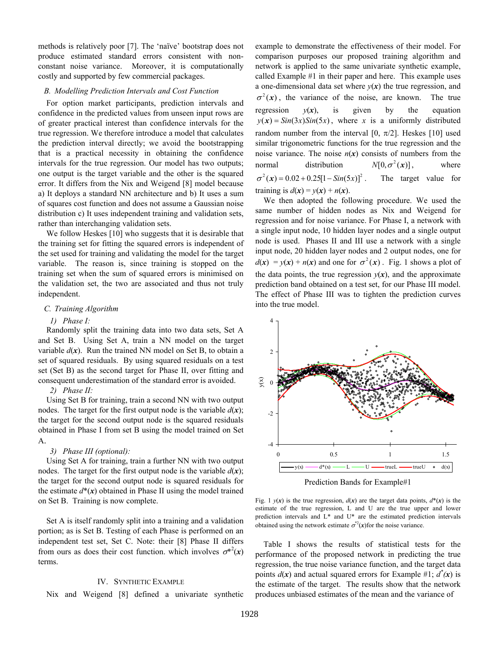methods is relatively poor [7]. The 'naïve' bootstrap does not produce estimated standard errors consistent with nonconstant noise variance. Moreover, it is computationally costly and supported by few commercial packages.

## *B. Modelling Prediction Intervals and Cost Function*

For option market participants, prediction intervals and confidence in the predicted values from unseen input rows are of greater practical interest than confidence intervals for the true regression. We therefore introduce a model that calculates the prediction interval directly; we avoid the bootstrapping that is a practical necessity in obtaining the confidence intervals for the true regression. Our model has two outputs; one output is the target variable and the other is the squared error. It differs from the Nix and Weigend [8] model because a) It deploys a standard NN architecture and b) It uses a sum of squares cost function and does not assume a Gaussian noise distribution c) It uses independent training and validation sets, rather than interchanging validation sets.

We follow Heskes [10] who suggests that it is desirable that the training set for fitting the squared errors is independent of the set used for training and validating the model for the target variable. The reason is, since training is stopped on the training set when the sum of squared errors is minimised on the validation set, the two are associated and thus not truly independent.

## *C. Training Algorithm*

## *1) Phase I:*

Randomly split the training data into two data sets, Set A and Set B. Using Set A, train a NN model on the target variable  $d(x)$ . Run the trained NN model on Set B, to obtain a set of squared residuals. By using squared residuals on a test set (Set B) as the second target for Phase II, over fitting and consequent underestimation of the standard error is avoided.

#### *2) Phase II:*

Using Set B for training, train a second NN with two output nodes. The target for the first output node is the variable  $d(x)$ ; the target for the second output node is the squared residuals obtained in Phase I from set B using the model trained on Set A.

## *3) Phase III (optional):*

Using Set A for training, train a further NN with two output nodes. The target for the first output node is the variable  $d(x)$ ; the target for the second output node is squared residuals for the estimate  $d^*(x)$  obtained in Phase II using the model trained on Set B. Training is now complete.

Set A is itself randomly split into a training and a validation portion; as is Set B. Testing of each Phase is performed on an independent test set, Set C. Note: their [8] Phase II differs from ours as does their cost function. which involves  $\sigma^{*2}(x)$ terms.

## IV. SYNTHETIC EXAMPLE

Nix and Weigend [8] defined a univariate synthetic

example to demonstrate the effectiveness of their model. For comparison purposes our proposed training algorithm and network is applied to the same univariate synthetic example, called Example #1 in their paper and here. This example uses a one-dimensional data set where  $y(x)$  the true regression, and  $\sigma^2(x)$ , the variance of the noise, are known. The true regression  $y(x)$ , is given by the equation  $y(x) = \sin(3x) \sin(5x)$ , where *x* is a uniformly distributed random number from the interval [0,  $\pi/2$ ]. Heskes [10] used similar trigonometric functions for the true regression and the noise variance. The noise  $n(x)$  consists of numbers from the normal distribution  $N[0, \sigma^2(x)]$ , where  $\sigma^2(x) = 0.02 + 0.25[1 - \sin(5x)]^2$ . The target value for training is  $d(x) = y(x) + n(x)$ .

We then adopted the following procedure. We used the same number of hidden nodes as Nix and Weigend for regression and for noise variance. For Phase I, a network with a single input node, 10 hidden layer nodes and a single output node is used. Phases II and III use a network with a single input node, 20 hidden layer nodes and 2 output nodes, one for  $d(x) = y(x) + n(x)$  and one for  $\sigma^2(x)$ . Fig. 1 shows a plot of the data points, the true regression  $y(x)$ , and the approximate prediction band obtained on a test set, for our Phase III model. The effect of Phase III was to tighten the prediction curves into the true model.



Prediction Bands for Example#1

Fig. 1  $y(x)$  is the true regression,  $d(x)$  are the target data points,  $d^*(x)$  is the estimate of the true regression, L and U are the true upper and lower prediction intervals and L\* and U\* are the estimated prediction intervals obtained using the network estimate  $\sigma^2(x)$  for the noise variance.

Table I shows the results of statistical tests for the performance of the proposed network in predicting the true regression, the true noise variance function, and the target data points  $d(x)$  and actual squared errors for Example #1;  $d^*(x)$  is the estimate of the target. The results show that the network produces unbiased estimates of the mean and the variance of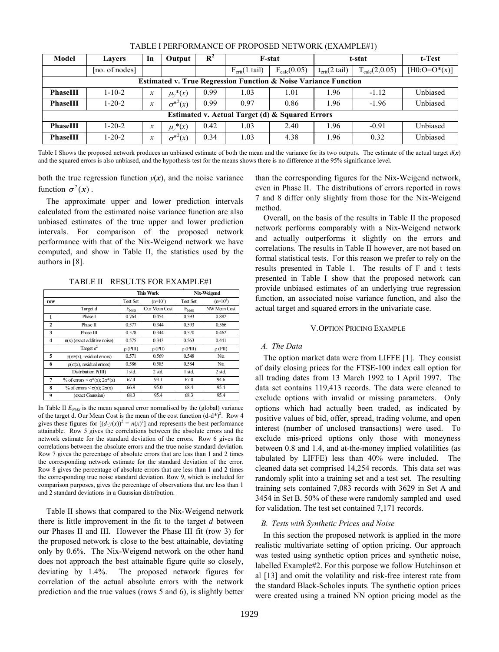| Model                                                                      | <b>Lavers</b>  | In               | Output           | $\mathbf{R}^2$ |                                   | <b>F-stat</b>    | t-stat                            | t-Test             |                 |  |  |
|----------------------------------------------------------------------------|----------------|------------------|------------------|----------------|-----------------------------------|------------------|-----------------------------------|--------------------|-----------------|--|--|
|                                                                            | [no. of nodes] |                  |                  |                | $F_{\text{crit}}(1 \text{ tail})$ | $F_{calc}(0.05)$ | $t_{\text{crit}}(2 \text{ tail})$ | $T_{calc}(2,0.05)$ | $[H0:O=O^*(x)]$ |  |  |
| <b>Estimated v. True Regression Function &amp; Noise Variance Function</b> |                |                  |                  |                |                                   |                  |                                   |                    |                 |  |  |
| <b>PhaseIII</b>                                                            | $1 - 10 - 2$   | $\boldsymbol{x}$ | $\mu_y^*(x)$     | 0.99           | 1.03                              | 1.01             | 1.96<br>$-1.12$                   |                    | Unbiased        |  |  |
| PhaseIII                                                                   | $1 - 20 - 2$   | $\boldsymbol{x}$ | $\sigma^{*2}(x)$ | 0.99           | 0.97                              | 0.86             | 1.96                              | $-1.96$            | Unbiased        |  |  |
| Estimated v. Actual Target (d) & Squared Errors                            |                |                  |                  |                |                                   |                  |                                   |                    |                 |  |  |
| PhaseIII                                                                   | $1 - 20 - 2$   | $\boldsymbol{x}$ | $\mu_y^*(x)$     | 0.42           | 1.03                              | 2.40             | 1.96<br>$-0.91$                   |                    | Unbiased        |  |  |
| PhaseIII                                                                   | $1 - 20 - 2$   | $\boldsymbol{x}$ | $\sigma^{*2}(x)$ | 0.34           | 1.03                              | 4.38             | 1.96                              | 0.32               | Unbiased        |  |  |

TABLE I PERFORMANCE OF PROPOSED NETWORK (EXAMPLE#1)

Table I Shows the proposed network produces an unbiased estimate of both the mean and the variance for its two outputs. The estimate of the actual target  $d(x)$ and the squared errors is also unbiased, and the hypothesis test for the means shows there is no difference at the 95% significance level.

both the true regression function  $y(x)$ , and the noise variance function  $\sigma^2(x)$ .

The approximate upper and lower prediction intervals calculated from the estimated noise variance function are also unbiased estimates of the true upper and lower prediction intervals. For comparison of the proposed network performance with that of the Nix-Weigend network we have computed, and show in Table II, the statistics used by the authors in [8].

TABLE II RESULTS FOR EXAMPLE#1

|                |                                                            |                 | <b>This Work</b> |                 | Nix-Weigend  |
|----------------|------------------------------------------------------------|-----------------|------------------|-----------------|--------------|
| row            |                                                            | <b>Test Set</b> | $(n=10^4)$       | <b>Test Set</b> | $(n=10^5)$   |
|                | Target d                                                   | $E_{NMS}$       | Our Mean Cost    | $E_{NMS}$       | NW Mean Cost |
| 1              | Phase I                                                    | 0.764           | 0.454            | 0.593           | 0.882        |
| $\mathbf{2}$   | Phase II                                                   | 0.577           | 0.344            | 0.593           | 0.566        |
| 3              | Phase III                                                  | 0.578           | 0.344            | 0.570           | 0.462        |
| 4              | $n(x)$ (exact additive noise)                              | 0.575           | 0.343            | 0.563           | 0.441        |
|                | Target $e^2$                                               | $\rho$ (PIII)   | $\rho$ (PII)     | $\rho$ (PIII)   | $\rho$ (PII) |
| 5              | $\rho(\sigma*(x))$ , residual errors)                      | 0.571           | 0.569            | 0.548           | N/a          |
| 6              | $\rho(\sigma(x))$ , residual errors)                       | 0.586           | 0.585            | 0.584           | N/a          |
|                | Distribution P(III)                                        | 1 std.          | $2$ std.         | 1 std.          | 2 std.       |
| $\overline{7}$ | % of errors $\langle \sigma^*(x) \rangle$ ; $2\sigma^*(x)$ | 67.4            | 93.1             | 67.0            | 94.6         |
| 8              | % of errors $\leq \sigma(x)$ ; $2\sigma(x)$                | 66.9            | 95.0             | 68.4            | 95.4         |
| 9              | (exact Gaussian)                                           | 68.3            | 95.4             | 68.3            | 95.4         |

In Table II  $E<sub>NMS</sub>$  is the mean squared error normalised by the (global) variance of the target d. Our Mean Cost is the mean of the cost function  $(d-d^*)^2$ . Row 4 gives these figures for  $[(d-y(x))^2 = n(x)^2]$  and represents the best performance attainable. Row 5 gives the correlations between the absolute errors and the network estimate for the standard deviation of the errors. Row 6 gives the correlations between the absolute errors and the true noise standard deviation. Row 7 gives the percentage of absolute errors that are less than 1 and 2 times the corresponding network estimate for the standard deviation of the error. Row 8 gives the percentage of absolute errors that are less than 1 and 2 times the corresponding true noise standard deviation. Row 9, which is included for comparison purposes, gives the percentage of observations that are less than 1 and 2 standard deviations in a Gaussian distribution.

Table II shows that compared to the Nix-Weigend network there is little improvement in the fit to the target *d* between our Phases II and III. However the Phase III fit (row 3) for the proposed network is close to the best attainable, deviating only by 0.6%. The Nix-Weigend network on the other hand does not approach the best attainable figure quite so closely, deviating by 1.4%. The proposed network figures for correlation of the actual absolute errors with the network prediction and the true values (rows 5 and 6), is slightly better than the corresponding figures for the Nix-Weigend network, even in Phase II. The distributions of errors reported in rows 7 and 8 differ only slightly from those for the Nix-Weigend method.

Overall, on the basis of the results in Table II the proposed network performs comparably with a Nix-Weigend network and actually outperforms it slightly on the errors and correlations. The results in Table II however, are not based on formal statistical tests. For this reason we prefer to rely on the results presented in Table 1. The results of F and t tests presented in Table I show that the proposed network can provide unbiased estimates of an underlying true regression function, an associated noise variance function, and also the actual target and squared errors in the univariate case.

## V.OPTION PRICING EXAMPLE

## *A. The Data*

The option market data were from LIFFE [1]. They consist of daily closing prices for the FTSE-100 index call option for all trading dates from 13 March 1992 to 1 April 1997. The data set contains 119,413 records. The data were cleaned to exclude options with invalid or missing parameters. Only options which had actually been traded, as indicated by positive values of bid, offer, spread, trading volume, and open interest (number of unclosed transactions) were used. To exclude mis-priced options only those with moneyness between 0.8 and 1.4, and at-the-money implied volatilities (as tabulated by LIFFE) less than 40% were included. The cleaned data set comprised 14,254 records. This data set was randomly split into a training set and a test set. The resulting training sets contained 7,083 records with 3629 in Set A and 3454 in Set B. 50% of these were randomly sampled and used for validation. The test set contained 7,171 records.

## *B. Tests with Synthetic Prices and Noise*

In this section the proposed network is applied in the more realistic multivariate setting of option pricing. Our approach was tested using synthetic option prices and synthetic noise, labelled Example#2. For this purpose we follow Hutchinson et al [13] and omit the volatility and risk-free interest rate from the standard Black-Scholes inputs. The synthetic option prices were created using a trained NN option pricing model as the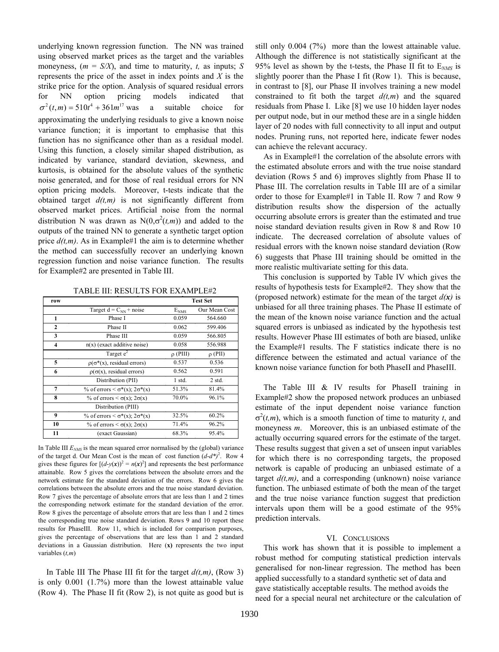underlying known regression function. The NN was trained using observed market prices as the target and the variables moneyness,  $(m = S/X)$ , and time to maturity, *t*, as inputs; *S* represents the price of the asset in index points and *X* is the strike price for the option. Analysis of squared residual errors for NN option pricing models indicated that  $\sigma^2(t,m) = 510t^4 + 361m^{17}$  was a suitable choice for approximating the underlying residuals to give a known noise variance function; it is important to emphasise that this function has no significance other than as a residual model. Using this function, a closely similar shaped distribution, as indicated by variance, standard deviation, skewness, and kurtosis, is obtained for the absolute values of the synthetic noise generated, and for those of real residual errors for NN option pricing models. Moreover, t-tests indicate that the obtained target  $d(t,m)$  is not significantly different from observed market prices. Artificial noise from the normal distribution N was drawn as  $N(0, \sigma^2(t,m))$  and added to the outputs of the trained NN to generate a synthetic target option price  $d(t,m)$ . As in Example#1 the aim is to determine whether the method can successfully recover an underlying known regression function and noise variance function. The results for Example#2 are presented in Table III.

TABLE III: RESULTS FOR EXAMPLE#2 **py p**

| row                 |                                                         | <b>Test Set</b> |               |  |  |
|---------------------|---------------------------------------------------------|-----------------|---------------|--|--|
|                     | Target $d = C_{NN}$ + noise                             | $E_{NMS}$       | Our Mean Cost |  |  |
| 1                   | Phase I                                                 | 0.059           | 564.660       |  |  |
| $\mathbf{2}$        | Phase II                                                | 0.062           | 599.406       |  |  |
| 3                   | Phase III                                               | 0.059           | 566.805       |  |  |
| $\overline{\bf{4}}$ | $n(x)$ (exact additive noise)                           | 0.058           | 556.988       |  |  |
|                     | Target $e^2$                                            | $\rho$ (PIII)   | $\rho$ (PII)  |  |  |
| 5                   | $\rho(\sigma^*(x))$ , residual errors)                  | 0.537           | 0.536         |  |  |
| 6                   | $\rho(\sigma(x))$ , residual errors)                    | 0.562           | 0.591         |  |  |
|                     | Distribution (PII)                                      | $1$ std.        | $2$ std.      |  |  |
| 7                   | % of errors $\langle \sigma^*(x); 2\sigma^*(x) \rangle$ | 51.3%           | 81.4%         |  |  |
| 8                   | % of errors $\leq \sigma(x)$ ; $2\sigma(x)$             | 70.0%           | 96.1%         |  |  |
|                     | Distribution (PIII)                                     |                 |               |  |  |
| 9                   | % of errors $\langle \sigma^*(x); 2\sigma^*(x) \rangle$ | 32.5%           | 60.2%         |  |  |
| 10                  | % of errors $\lt \sigma(x)$ ; $2\sigma(x)$              | 71.4%           | 96.2%         |  |  |
| 11                  | (exact Gaussian)                                        | 68.3%           | 95.4%         |  |  |

In Table III  $E_{MIS}$  is the mean squared error normalised by the (global) variance of the target d. Our Mean Cost is the mean of cost function  $(d-d^*)^2$ . Row 4 gives these figures for  $[(d-y(x))^2 = n(x)^2]$  and represents the best performance attainable. Row 5 gives the correlations between the absolute errors and the network estimate for the standard deviation of the errors. Row 6 gives the correlations between the absolute errors and the true noise standard deviation. Row 7 gives the percentage of absolute errors that are less than 1 and 2 times the corresponding network estimate for the standard deviation of the error. Row 8 gives the percentage of absolute errors that are less than 1 and 2 times the corresponding true noise standard deviation. Rows 9 and 10 report these results for PhaseIII. Row 11, which is included for comparison purposes, gives the percentage of observations that are less than 1 and 2 standard deviations in a Gaussian distribution. Here (**x)** represents the two input variables (*t,m*)

In Table III The Phase III fit for the target  $d(t,m)$ , (Row 3) is only 0.001 (1.7%) more than the lowest attainable value (Row 4). The Phase II fit (Row 2), is not quite as good but is

still only 0.004 (7%) more than the lowest attainable value. Although the difference is not statistically significant at the 95% level as shown by the t-tests, the Phase II fit to E*NMS* is slightly poorer than the Phase I fit (Row 1). This is because, in contrast to [8], our Phase II involves training a new model constrained to fit both the target  $d(t,m)$  and the squared residuals from Phase I. Like [8] we use 10 hidden layer nodes per output node, but in our method these are in a single hidden layer of 20 nodes with full connectivity to all input and output nodes. Pruning runs, not reported here, indicate fewer nodes can achieve the relevant accuracy.

As in Example#1 the correlation of the absolute errors with the estimated absolute errors and with the true noise standard deviation (Rows 5 and 6) improves slightly from Phase II to Phase III. The correlation results in Table III are of a similar order to those for Example#1 in Table II. Row 7 and Row 9 distribution results show the dispersion of the actually occurring absolute errors is greater than the estimated and true noise standard deviation results given in Row 8 and Row 10 indicate. The decreased correlation of absolute values of residual errors with the known noise standard deviation (Row 6) suggests that Phase III training should be omitted in the more realistic multivariate setting for this data.

This conclusion is supported by Table IV which gives the results of hypothesis tests for Example#2. They show that the (proposed network) estimate for the mean of the target  $d(x)$  is unbiased for all three training phases. The Phase II estimate of the mean of the known noise variance function and the actual squared errors is unbiased as indicated by the hypothesis test results. However Phase III estimates of both are biased, unlike the Example#1 results. The F statistics indicate there is no difference between the estimated and actual variance of the known noise variance function for both PhaseII and PhaseIII.

The Table III & IV results for PhaseII training in Example#2 show the proposed network produces an unbiased estimate of the input dependent noise variance function  $\sigma^2(t,m)$ , which is a smooth function of time to maturity *t*, and moneyness *m*. Moreover, this is an unbiased estimate of the actually occurring squared errors for the estimate of the target. These results suggest that given a set of unseen input variables for which there is no corresponding targets, the proposed network is capable of producing an unbiased estimate of a target  $d(t,m)$ , and a corresponding (unknown) noise variance function. The unbiased estimate of both the mean of the target and the true noise variance function suggest that prediction intervals upon them will be a good estimate of the 95% prediction intervals.

## VI. CONCLUSIONS

This work has shown that it is possible to implement a robust method for computing statistical prediction intervals generalised for non-linear regression. The method has been applied successfully to a standard synthetic set of data and gave statistically acceptable results. The method avoids the need for a special neural net architecture or the calculation of